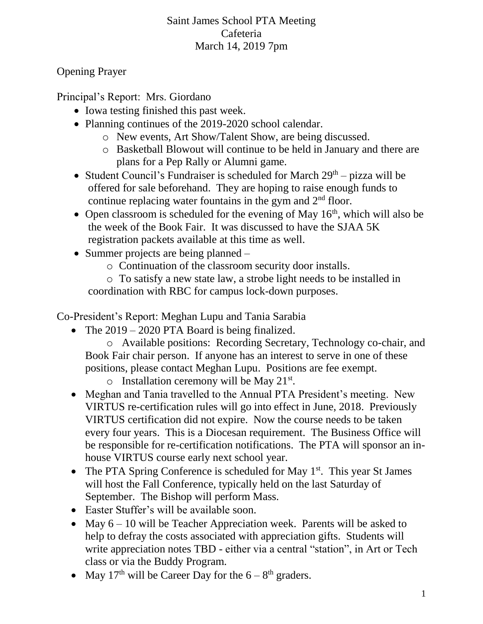## Saint James School PTA Meeting Cafeteria March 14, 2019 7pm

## Opening Prayer

Principal's Report: Mrs. Giordano

- Iowa testing finished this past week.
- Planning continues of the 2019-2020 school calendar.
	- o New events, Art Show/Talent Show, are being discussed.
	- o Basketball Blowout will continue to be held in January and there are plans for a Pep Rally or Alumni game.
- Student Council's Fundraiser is scheduled for March  $29<sup>th</sup>$  pizza will be offered for sale beforehand. They are hoping to raise enough funds to continue replacing water fountains in the gym and  $2<sup>nd</sup>$  floor.
- Open classroom is scheduled for the evening of May  $16<sup>th</sup>$ , which will also be the week of the Book Fair. It was discussed to have the SJAA 5K registration packets available at this time as well.
- Summer projects are being planned
	- o Continuation of the classroom security door installs.

o To satisfy a new state law, a strobe light needs to be installed in coordination with RBC for campus lock-down purposes.

Co-President's Report: Meghan Lupu and Tania Sarabia

• The 2019 – 2020 PTA Board is being finalized.

o Available positions: Recording Secretary, Technology co-chair, and Book Fair chair person. If anyone has an interest to serve in one of these positions, please contact Meghan Lupu. Positions are fee exempt.

- $\circ$  Installation ceremony will be May 21<sup>st</sup>.
- Meghan and Tania travelled to the Annual PTA President's meeting. New VIRTUS re-certification rules will go into effect in June, 2018. Previously VIRTUS certification did not expire. Now the course needs to be taken every four years. This is a Diocesan requirement. The Business Office will be responsible for re-certification notifications. The PTA will sponsor an inhouse VIRTUS course early next school year.
- The PTA Spring Conference is scheduled for May  $1<sup>st</sup>$ . This year St James will host the Fall Conference, typically held on the last Saturday of September. The Bishop will perform Mass.
- Easter Stuffer's will be available soon.
- May  $6 10$  will be Teacher Appreciation week. Parents will be asked to help to defray the costs associated with appreciation gifts. Students will write appreciation notes TBD - either via a central "station", in Art or Tech class or via the Buddy Program.
- May 17<sup>th</sup> will be Career Day for the  $6 8$ <sup>th</sup> graders.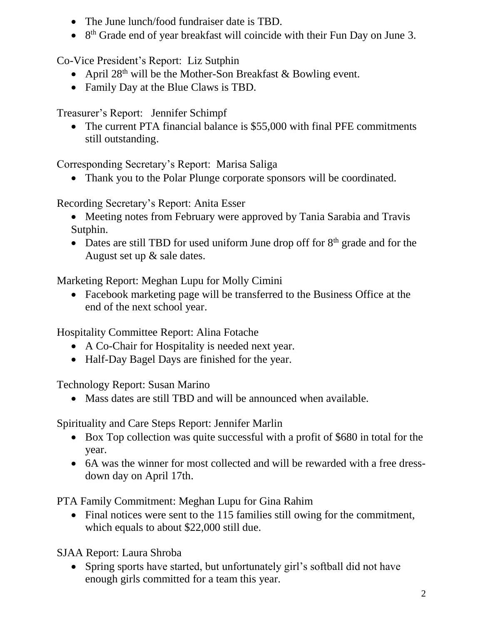- The June lunch/food fundraiser date is TBD.
- 8<sup>th</sup> Grade end of year breakfast will coincide with their Fun Day on June 3.

Co-Vice President's Report: Liz Sutphin

- April  $28<sup>th</sup>$  will be the Mother-Son Breakfast & Bowling event.
- Family Day at the Blue Claws is TBD.

Treasurer's Report: Jennifer Schimpf

• The current PTA financial balance is \$55,000 with final PFE commitments still outstanding.

Corresponding Secretary's Report: Marisa Saliga

• Thank you to the Polar Plunge corporate sponsors will be coordinated.

Recording Secretary's Report: Anita Esser

- Meeting notes from February were approved by Tania Sarabia and Travis Sutphin.
- Dates are still TBD for used uniform June drop off for  $8<sup>th</sup>$  grade and for the August set up & sale dates.

Marketing Report: Meghan Lupu for Molly Cimini

• Facebook marketing page will be transferred to the Business Office at the end of the next school year.

Hospitality Committee Report: Alina Fotache

- A Co-Chair for Hospitality is needed next year.
- Half-Day Bagel Days are finished for the year.

Technology Report: Susan Marino

• Mass dates are still TBD and will be announced when available.

Spirituality and Care Steps Report: Jennifer Marlin

- Box Top collection was quite successful with a profit of \$680 in total for the year.
- 6A was the winner for most collected and will be rewarded with a free dressdown day on April 17th.

PTA Family Commitment: Meghan Lupu for Gina Rahim

• Final notices were sent to the 115 families still owing for the commitment, which equals to about \$22,000 still due.

SJAA Report: Laura Shroba

• Spring sports have started, but unfortunately girl's softball did not have enough girls committed for a team this year.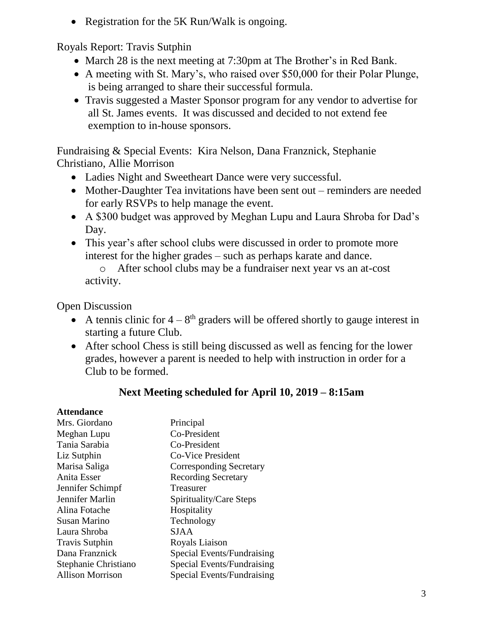• Registration for the 5K Run/Walk is ongoing.

Royals Report: Travis Sutphin

- March 28 is the next meeting at 7:30pm at The Brother's in Red Bank.
- A meeting with St. Mary's, who raised over \$50,000 for their Polar Plunge, is being arranged to share their successful formula.
- Travis suggested a Master Sponsor program for any vendor to advertise for all St. James events. It was discussed and decided to not extend fee exemption to in-house sponsors.

Fundraising & Special Events: Kira Nelson, Dana Franznick, Stephanie Christiano, Allie Morrison

- Ladies Night and Sweetheart Dance were very successful.
- Mother-Daughter Tea invitations have been sent out reminders are needed for early RSVPs to help manage the event.
- A \$300 budget was approved by Meghan Lupu and Laura Shroba for Dad's Day.
- This year's after school clubs were discussed in order to promote more interest for the higher grades – such as perhaps karate and dance.

o After school clubs may be a fundraiser next year vs an at-cost activity.

Open Discussion

- A tennis clinic for  $4 8$ <sup>th</sup> graders will be offered shortly to gauge interest in starting a future Club.
- After school Chess is still being discussed as well as fencing for the lower grades, however a parent is needed to help with instruction in order for a Club to be formed.

## **Next Meeting scheduled for April 10, 2019 – 8:15am**

## **Attendance**

| Principal                  |
|----------------------------|
| Co-President               |
| Co-President               |
| <b>Co-Vice President</b>   |
| Corresponding Secretary    |
| <b>Recording Secretary</b> |
| Treasurer                  |
| Spirituality/Care Steps    |
| Hospitality                |
| Technology                 |
| <b>SJAA</b>                |
| Royals Liaison             |
| Special Events/Fundraising |
| Special Events/Fundraising |
| Special Events/Fundraising |
|                            |